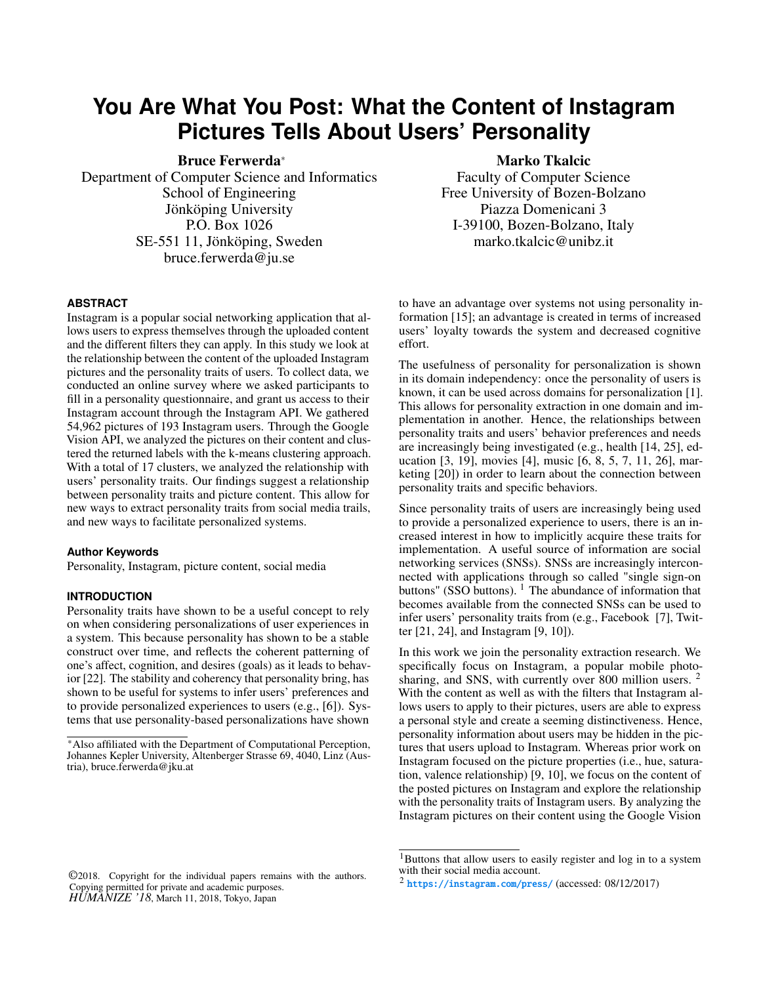# **You Are What You Post: What the Content of Instagram Pictures Tells About Users' Personality**

Bruce Ferwerda<sup>∗</sup>

Department of Computer Science and Informatics School of Engineering Jönköping University P.O. Box 1026 SE-551 11, Jönköping, Sweden bruce.ferwerda@ju.se

Marko Tkalcic

Faculty of Computer Science Free University of Bozen-Bolzano Piazza Domenicani 3 I-39100, Bozen-Bolzano, Italy marko.tkalcic@unibz.it

## **ABSTRACT**

Instagram is a popular social networking application that allows users to express themselves through the uploaded content and the different filters they can apply. In this study we look at the relationship between the content of the uploaded Instagram pictures and the personality traits of users. To collect data, we conducted an online survey where we asked participants to fill in a personality questionnaire, and grant us access to their Instagram account through the Instagram API. We gathered 54,962 pictures of 193 Instagram users. Through the Google Vision API, we analyzed the pictures on their content and clustered the returned labels with the k-means clustering approach. With a total of 17 clusters, we analyzed the relationship with users' personality traits. Our findings suggest a relationship between personality traits and picture content. This allow for new ways to extract personality traits from social media trails, and new ways to facilitate personalized systems.

#### **Author Keywords**

Personality, Instagram, picture content, social media

## **INTRODUCTION**

Personality traits have shown to be a useful concept to rely on when considering personalizations of user experiences in a system. This because personality has shown to be a stable construct over time, and reflects the coherent patterning of one's affect, cognition, and desires (goals) as it leads to behavior [\[22\]](#page-4-0). The stability and coherency that personality bring, has shown to be useful for systems to infer users' preferences and to provide personalized experiences to users (e.g., [\[6\]](#page-3-0)). Systems that use personality-based personalizations have shown

to have an advantage over systems not using personality information [\[15\]](#page-3-1); an advantage is created in terms of increased users' loyalty towards the system and decreased cognitive effort.

The usefulness of personality for personalization is shown in its domain independency: once the personality of users is known, it can be used across domains for personalization [\[1\]](#page-3-2). This allows for personality extraction in one domain and implementation in another. Hence, the relationships between personality traits and users' behavior preferences and needs are increasingly being investigated (e.g., health [\[14,](#page-3-3) [25\]](#page-4-1), education [\[3,](#page-3-4) [19\]](#page-3-5), movies [\[4\]](#page-3-6), music [\[6,](#page-3-0) [8,](#page-3-7) [5,](#page-3-8) [7,](#page-3-9) [11,](#page-3-10) [26\]](#page-4-2), marketing [\[20\]](#page-3-11)) in order to learn about the connection between personality traits and specific behaviors.

Since personality traits of users are increasingly being used to provide a personalized experience to users, there is an increased interest in how to implicitly acquire these traits for implementation. A useful source of information are social networking services (SNSs). SNSs are increasingly interconnected with applications through so called "single sign-on buttons" (SSO buttons).<sup>[1](#page-0-0)</sup> The abundance of information that becomes available from the connected SNSs can be used to infer users' personality traits from (e.g., Facebook [\[7\]](#page-3-9), Twitter [\[21,](#page-4-3) [24\]](#page-4-4), and Instagram [\[9,](#page-3-12) [10\]](#page-3-13)).

In this work we join the personality extraction research. We specifically focus on Instagram, a popular mobile photo-sharing, and SNS, with currently over 800 million users. <sup>[2](#page-0-1)</sup> With the content as well as with the filters that Instagram allows users to apply to their pictures, users are able to express a personal style and create a seeming distinctiveness. Hence, personality information about users may be hidden in the pictures that users upload to Instagram. Whereas prior work on Instagram focused on the picture properties (i.e., hue, saturation, valence relationship) [\[9,](#page-3-12) [10\]](#page-3-13), we focus on the content of the posted pictures on Instagram and explore the relationship with the personality traits of Instagram users. By analyzing the Instagram pictures on their content using the Google Vision

<sup>\*</sup>Also affiliated with the Department of Computational Perception, Johannes Kepler University, Altenberger Strasse 69, 4040, Linz (Austria), bruce.ferwerda@jku.at

<span id="page-0-0"></span><sup>&</sup>lt;sup>1</sup>Buttons that allow users to easily register and log in to a system with their social media account.

<sup>©</sup>2018. Copyright for the individual papers remains with the authors. Copying permitted for private and academic purposes. *HUMANIZE '18*, March 11, 2018, Tokyo, Japan

<span id="page-0-1"></span><sup>2</sup> <https://instagram.com/press/> (accessed: 08/12/2017)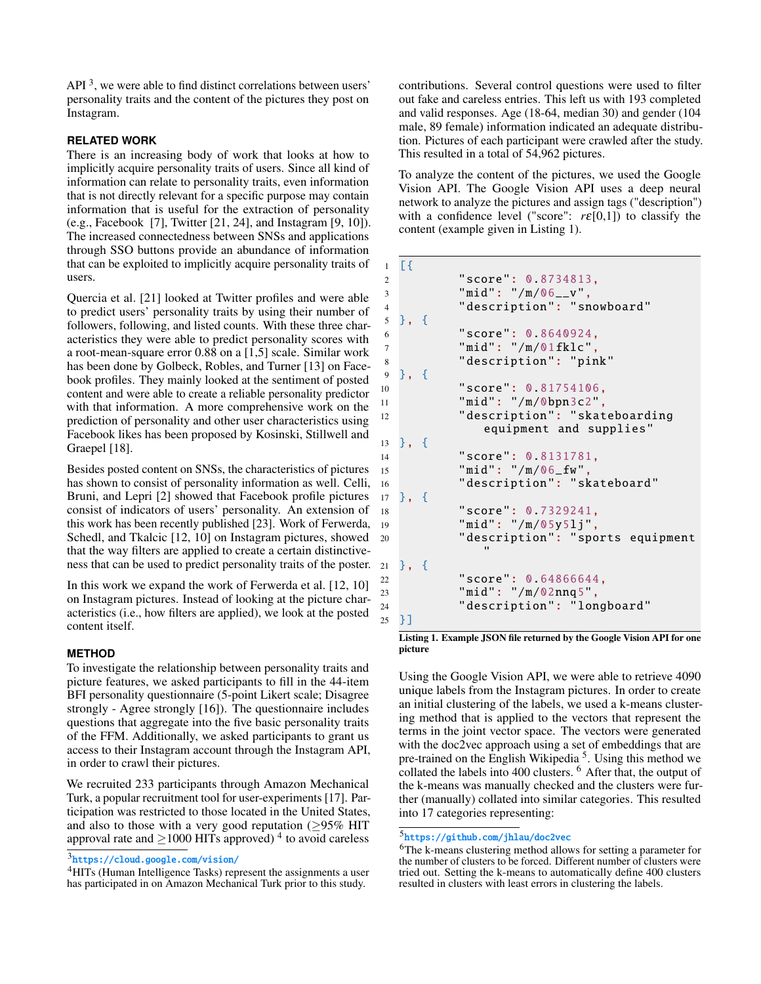API $<sup>3</sup>$  $<sup>3</sup>$  $<sup>3</sup>$ , we were able to find distinct correlations between users'</sup> personality traits and the content of the pictures they post on Instagram.

### **RELATED WORK**

There is an increasing body of work that looks at how to implicitly acquire personality traits of users. Since all kind of information can relate to personality traits, even information that is not directly relevant for a specific purpose may contain information that is useful for the extraction of personality (e.g., Facebook [\[7\]](#page-3-9), Twitter [\[21,](#page-4-3) [24\]](#page-4-4), and Instagram [\[9,](#page-3-12) [10\]](#page-3-13)). The increased connectedness between SNSs and applications through SSO buttons provide an abundance of information that can be exploited to implicitly acquire personality traits of users.

Quercia et al. [\[21\]](#page-4-3) looked at Twitter profiles and were able to predict users' personality traits by using their number of followers, following, and listed counts. With these three characteristics they were able to predict personality scores with a root-mean-square error 0.88 on a [1,5] scale. Similar work has been done by Golbeck, Robles, and Turner [\[13\]](#page-3-14) on Facebook profiles. They mainly looked at the sentiment of posted content and were able to create a reliable personality predictor with that information. A more comprehensive work on the prediction of personality and other user characteristics using Facebook likes has been proposed by Kosinski, Stillwell and Graepel [\[18\]](#page-3-15).

Besides posted content on SNSs, the characteristics of pictures has shown to consist of personality information as well. Celli, Bruni, and Lepri [\[2\]](#page-3-16) showed that Facebook profile pictures consist of indicators of users' personality. An extension of this work has been recently published [\[23\]](#page-4-5). Work of Ferwerda, Schedl, and Tkalcic [\[12,](#page-3-17) [10\]](#page-3-13) on Instagram pictures, showed that the way filters are applied to create a certain distinctiveness that can be used to predict personality traits of the poster.

In this work we expand the work of Ferwerda et al. [\[12,](#page-3-17) [10\]](#page-3-13) on Instagram pictures. Instead of looking at the picture characteristics (i.e., how filters are applied), we look at the posted content itself.

#### **METHOD**

To investigate the relationship between personality traits and picture features, we asked participants to fill in the 44-item BFI personality questionnaire (5-point Likert scale; Disagree strongly - Agree strongly [\[16\]](#page-3-18)). The questionnaire includes questions that aggregate into the five basic personality traits of the FFM. Additionally, we asked participants to grant us access to their Instagram account through the Instagram API, in order to crawl their pictures.

We recruited 233 participants through Amazon Mechanical Turk, a popular recruitment tool for user-experiments [\[17\]](#page-3-19). Participation was restricted to those located in the United States, and also to those with a very good reputation ( $\geq$ 95% HIT approval rate and  $\geq$ 1000 HITs approved)<sup>[4](#page-1-1)</sup> to avoid careless

```
3
https://cloud.google.com/vision/
```
<span id="page-1-1"></span><sup>4</sup>HITs (Human Intelligence Tasks) represent the assignments a user has participated in on Amazon Mechanical Turk prior to this study.

contributions. Several control questions were used to filter out fake and careless entries. This left us with 193 completed and valid responses. Age (18-64, median 30) and gender (104 male, 89 female) information indicated an adequate distribution. Pictures of each participant were crawled after the study. This resulted in a total of 54,962 pictures.

To analyze the content of the pictures, we used the Google Vision API. The Google Vision API uses a deep neural network to analyze the pictures and assign tags ("description") with a confidence level ("score":  $r \in [0,1]$ ) to classify the content (example given in Listing [1\)](#page-1-2).

```
1 [{
2 "score": 0.8734813,
3 "mid": "/m/06__v",
4 " description ": " snowboard "
5 }, {
6 "score": 0.8640924,
7 "mid": "/m/01fklc",
8 " description": "pink"
9 }, {
10 "score": 0.81754106,
11 "mid": "/m/0bpn3c2",
12 " description": " skateboarding
            equipment and supplies"
13 }, {
14 "score": 0.8131781,
15 "mid": "/m/06_fw",
16 " description": "skateboard"
17 }, {
18 "score": 0.7329241,
19 "mid": "/m/05y5lj",
20 " description ": "sports equipment
            "
  }, {
22 "score": 0.64866644,
23 "mid": "/m/02nnq5",
24 " description ": " longboard "
25 }]
```
Listing 1. Example JSON file returned by the Google Vision API for one picture

Using the Google Vision API, we were able to retrieve 4090 unique labels from the Instagram pictures. In order to create an initial clustering of the labels, we used a k-means clustering method that is applied to the vectors that represent the terms in the joint vector space. The vectors were generated with the doc2vec approach using a set of embeddings that are pre-trained on the English Wikipedia<sup>[5](#page-1-3)</sup>. Using this method we collated the labels into 400 clusters. <sup>[6](#page-1-4)</sup> After that, the output of the k-means was manually checked and the clusters were further (manually) collated into similar categories. This resulted into 17 categories representing:

#### <span id="page-1-3"></span>5 <https://github.com/jhlau/doc2vec>

<span id="page-1-4"></span><sup>6</sup>The k-means clustering method allows for setting a parameter for the number of clusters to be forced. Different number of clusters were tried out. Setting the k-means to automatically define 400 clusters resulted in clusters with least errors in clustering the labels.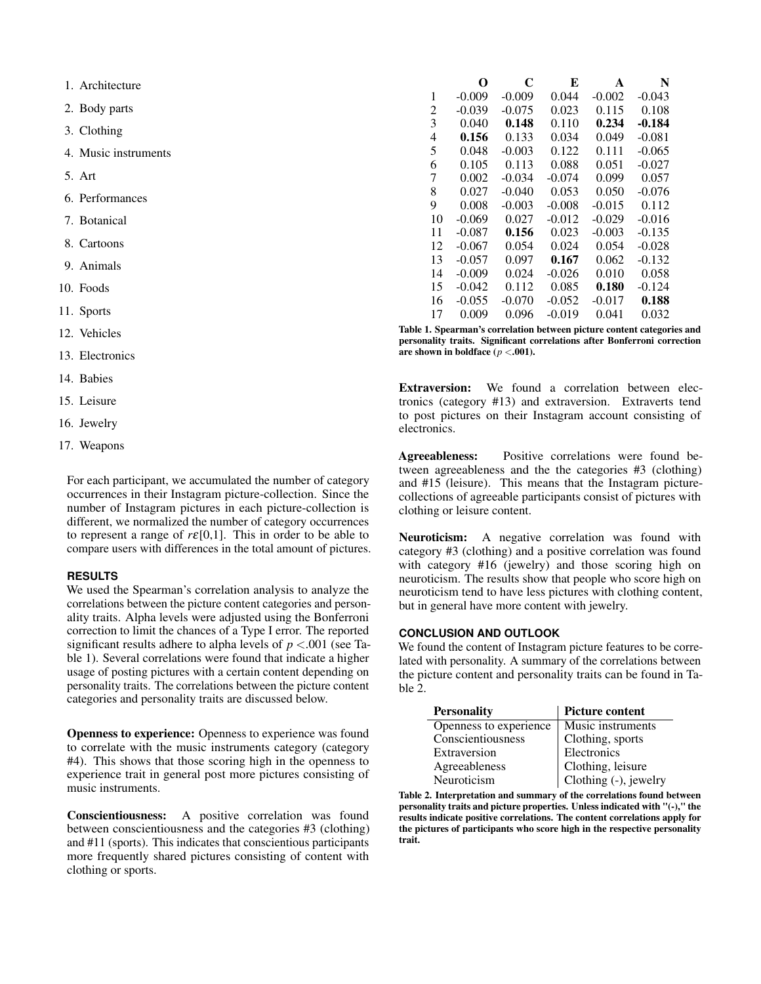1. Architecture

2. Body parts

- 3. Clothing
- 4. Music instruments
- 5. Art
- 6. Performances
- 7. Botanical
- 8. Cartoons
- 9. Animals
- 10. Foods
- 11. Sports
- 12. Vehicles
- 13. Electronics
- 14. Babies
- 15. Leisure
- 16. Jewelry
- 17. Weapons

For each participant, we accumulated the number of category occurrences in their Instagram picture-collection. Since the number of Instagram pictures in each picture-collection is different, we normalized the number of category occurrences to represent a range of  $r \in [0,1]$ . This in order to be able to compare users with differences in the total amount of pictures.

#### **RESULTS**

We used the Spearman's correlation analysis to analyze the correlations between the picture content categories and personality traits. Alpha levels were adjusted using the Bonferroni correction to limit the chances of a Type I error. The reported significant results adhere to alpha levels of *p* <.001 (see Table [1\)](#page-2-0). Several correlations were found that indicate a higher usage of posting pictures with a certain content depending on personality traits. The correlations between the picture content categories and personality traits are discussed below.

Openness to experience: Openness to experience was found to correlate with the music instruments category (category #4). This shows that those scoring high in the openness to experience trait in general post more pictures consisting of music instruments.

Conscientiousness: A positive correlation was found between conscientiousness and the categories #3 (clothing) and #11 (sports). This indicates that conscientious participants more frequently shared pictures consisting of content with clothing or sports.

|    | O        | C        | E        | A        | N        |
|----|----------|----------|----------|----------|----------|
| 1  | $-0.009$ | $-0.009$ | 0.044    | $-0.002$ | $-0.043$ |
| 2  | $-0.039$ | $-0.075$ | 0.023    | 0.115    | 0.108    |
| 3  | 0.040    | 0.148    | 0.110    | 0.234    | -0.184   |
| 4  | 0.156    | 0.133    | 0.034    | 0.049    | $-0.081$ |
| 5  | 0.048    | $-0.003$ | 0.122    | 0.111    | $-0.065$ |
| 6  | 0.105    | 0.113    | 0.088    | 0.051    | $-0.027$ |
| 7  | 0.002    | $-0.034$ | $-0.074$ | 0.099    | 0.057    |
| 8  | 0.027    | $-0.040$ | 0.053    | 0.050    | $-0.076$ |
| 9  | 0.008    | $-0.003$ | $-0.008$ | $-0.015$ | 0.112    |
| 10 | $-0.069$ | 0.027    | $-0.012$ | $-0.029$ | $-0.016$ |
| 11 | $-0.087$ | 0.156    | 0.023    | $-0.003$ | $-0.135$ |
| 12 | $-0.067$ | 0.054    | 0.024    | 0.054    | $-0.028$ |
| 13 | $-0.057$ | 0.097    | 0.167    | 0.062    | $-0.132$ |
| 14 | $-0.009$ | 0.024    | $-0.026$ | 0.010    | 0.058    |
| 15 | $-0.042$ | 0.112    | 0.085    | 0.180    | $-0.124$ |
| 16 | $-0.055$ | $-0.070$ | $-0.052$ | -0.017   | 0.188    |
| 17 | 0.009    | 0.096    | $-0.019$ | 0.041    | 0.032    |

<span id="page-2-0"></span>Table 1. Spearman's correlation between picture content categories and personality traits. Significant correlations after Bonferroni correction are shown in boldface  $(p < .001)$ .

Extraversion: We found a correlation between electronics (category #13) and extraversion. Extraverts tend to post pictures on their Instagram account consisting of electronics.

Agreeableness: Positive correlations were found between agreeableness and the the categories #3 (clothing) and #15 (leisure). This means that the Instagram picturecollections of agreeable participants consist of pictures with clothing or leisure content.

Neuroticism: A negative correlation was found with category #3 (clothing) and a positive correlation was found with category #16 (jewelry) and those scoring high on neuroticism. The results show that people who score high on neuroticism tend to have less pictures with clothing content, but in general have more content with jewelry.

## **CONCLUSION AND OUTLOOK**

We found the content of Instagram picture features to be correlated with personality. A summary of the correlations between the picture content and personality traits can be found in Table [2.](#page-2-1)

| <b>Personality</b>     | <b>Picture content</b> |
|------------------------|------------------------|
| Openness to experience | Music instruments      |
| Conscientiousness      | Clothing, sports       |
| Extraversion           | Electronics            |
| Agreeableness          | Clothing, leisure      |
| Neuroticism            | Clothing (-), jewelry  |

<span id="page-2-1"></span>Table 2. Interpretation and summary of the correlations found between personality traits and picture properties. Unless indicated with "(-)," the results indicate positive correlations. The content correlations apply for the pictures of participants who score high in the respective personality trait.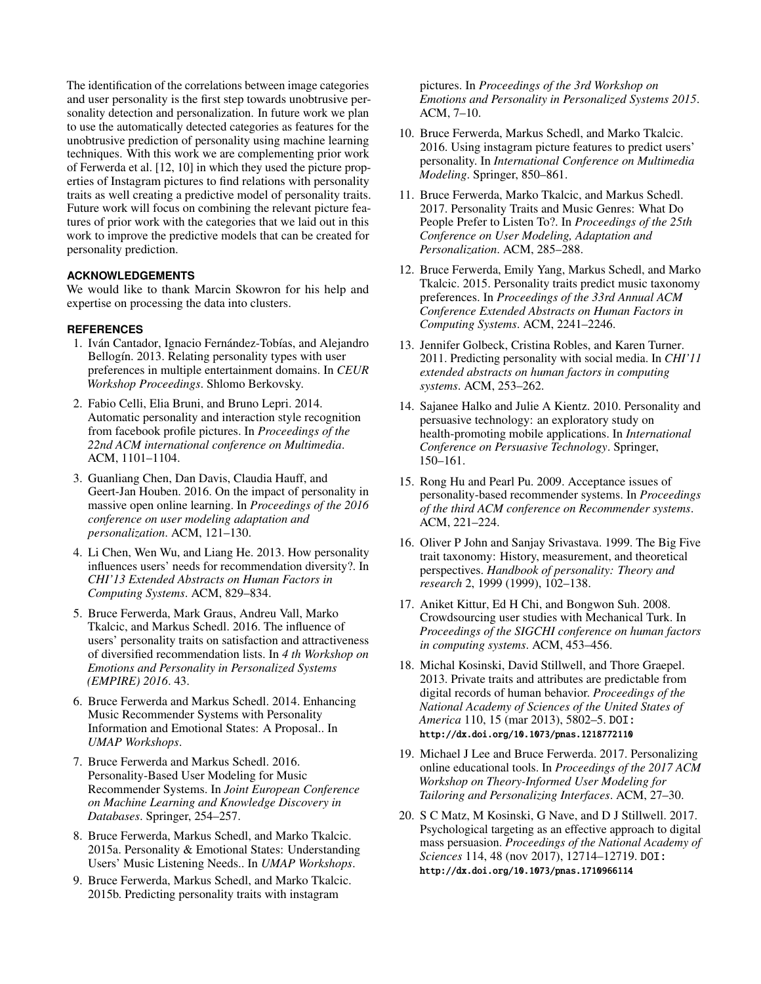The identification of the correlations between image categories and user personality is the first step towards unobtrusive personality detection and personalization. In future work we plan to use the automatically detected categories as features for the unobtrusive prediction of personality using machine learning techniques. With this work we are complementing prior work of Ferwerda et al. [\[12,](#page-3-17) [10\]](#page-3-13) in which they used the picture properties of Instagram pictures to find relations with personality traits as well creating a predictive model of personality traits. Future work will focus on combining the relevant picture features of prior work with the categories that we laid out in this work to improve the predictive models that can be created for personality prediction.

## **ACKNOWLEDGEMENTS**

We would like to thank Marcin Skowron for his help and expertise on processing the data into clusters.

# <span id="page-3-2"></span>**REFERENCES**

- 1. Iván Cantador, Ignacio Fernández-Tobías, and Alejandro Bellogín. 2013. Relating personality types with user preferences in multiple entertainment domains. In *CEUR Workshop Proceedings*. Shlomo Berkovsky.
- <span id="page-3-16"></span>2. Fabio Celli, Elia Bruni, and Bruno Lepri. 2014. Automatic personality and interaction style recognition from facebook profile pictures. In *Proceedings of the 22nd ACM international conference on Multimedia*. ACM, 1101–1104.
- <span id="page-3-4"></span>3. Guanliang Chen, Dan Davis, Claudia Hauff, and Geert-Jan Houben. 2016. On the impact of personality in massive open online learning. In *Proceedings of the 2016 conference on user modeling adaptation and personalization*. ACM, 121–130.
- <span id="page-3-6"></span>4. Li Chen, Wen Wu, and Liang He. 2013. How personality influences users' needs for recommendation diversity?. In *CHI'13 Extended Abstracts on Human Factors in Computing Systems*. ACM, 829–834.
- <span id="page-3-8"></span>5. Bruce Ferwerda, Mark Graus, Andreu Vall, Marko Tkalcic, and Markus Schedl. 2016. The influence of users' personality traits on satisfaction and attractiveness of diversified recommendation lists. In *4 th Workshop on Emotions and Personality in Personalized Systems (EMPIRE) 2016*. 43.
- <span id="page-3-0"></span>6. Bruce Ferwerda and Markus Schedl. 2014. Enhancing Music Recommender Systems with Personality Information and Emotional States: A Proposal.. In *UMAP Workshops*.
- <span id="page-3-9"></span>7. Bruce Ferwerda and Markus Schedl. 2016. Personality-Based User Modeling for Music Recommender Systems. In *Joint European Conference on Machine Learning and Knowledge Discovery in Databases*. Springer, 254–257.
- <span id="page-3-7"></span>8. Bruce Ferwerda, Markus Schedl, and Marko Tkalcic. 2015a. Personality & Emotional States: Understanding Users' Music Listening Needs.. In *UMAP Workshops*.
- <span id="page-3-12"></span>9. Bruce Ferwerda, Markus Schedl, and Marko Tkalcic. 2015b. Predicting personality traits with instagram

pictures. In *Proceedings of the 3rd Workshop on Emotions and Personality in Personalized Systems 2015*. ACM, 7–10.

- <span id="page-3-13"></span>10. Bruce Ferwerda, Markus Schedl, and Marko Tkalcic. 2016. Using instagram picture features to predict users' personality. In *International Conference on Multimedia Modeling*. Springer, 850–861.
- <span id="page-3-10"></span>11. Bruce Ferwerda, Marko Tkalcic, and Markus Schedl. 2017. Personality Traits and Music Genres: What Do People Prefer to Listen To?. In *Proceedings of the 25th Conference on User Modeling, Adaptation and Personalization*. ACM, 285–288.
- <span id="page-3-17"></span>12. Bruce Ferwerda, Emily Yang, Markus Schedl, and Marko Tkalcic. 2015. Personality traits predict music taxonomy preferences. In *Proceedings of the 33rd Annual ACM Conference Extended Abstracts on Human Factors in Computing Systems*. ACM, 2241–2246.
- <span id="page-3-14"></span>13. Jennifer Golbeck, Cristina Robles, and Karen Turner. 2011. Predicting personality with social media. In *CHI'11 extended abstracts on human factors in computing systems*. ACM, 253–262.
- <span id="page-3-3"></span>14. Sajanee Halko and Julie A Kientz. 2010. Personality and persuasive technology: an exploratory study on health-promoting mobile applications. In *International Conference on Persuasive Technology*. Springer, 150–161.
- <span id="page-3-1"></span>15. Rong Hu and Pearl Pu. 2009. Acceptance issues of personality-based recommender systems. In *Proceedings of the third ACM conference on Recommender systems*. ACM, 221–224.
- <span id="page-3-18"></span>16. Oliver P John and Sanjay Srivastava. 1999. The Big Five trait taxonomy: History, measurement, and theoretical perspectives. *Handbook of personality: Theory and research* 2, 1999 (1999), 102–138.
- <span id="page-3-19"></span>17. Aniket Kittur, Ed H Chi, and Bongwon Suh. 2008. Crowdsourcing user studies with Mechanical Turk. In *Proceedings of the SIGCHI conference on human factors in computing systems*. ACM, 453–456.
- <span id="page-3-15"></span>18. Michal Kosinski, David Stillwell, and Thore Graepel. 2013. Private traits and attributes are predictable from digital records of human behavior. *Proceedings of the National Academy of Sciences of the United States of America* 110, 15 (mar 2013), 5802–5. DOI: <http://dx.doi.org/10.1073/pnas.1218772110>
- <span id="page-3-5"></span>19. Michael J Lee and Bruce Ferwerda. 2017. Personalizing online educational tools. In *Proceedings of the 2017 ACM Workshop on Theory-Informed User Modeling for Tailoring and Personalizing Interfaces*. ACM, 27–30.
- <span id="page-3-11"></span>20. S C Matz, M Kosinski, G Nave, and D J Stillwell. 2017. Psychological targeting as an effective approach to digital mass persuasion. *Proceedings of the National Academy of Sciences* 114, 48 (nov 2017), 12714–12719. DOI: <http://dx.doi.org/10.1073/pnas.1710966114>